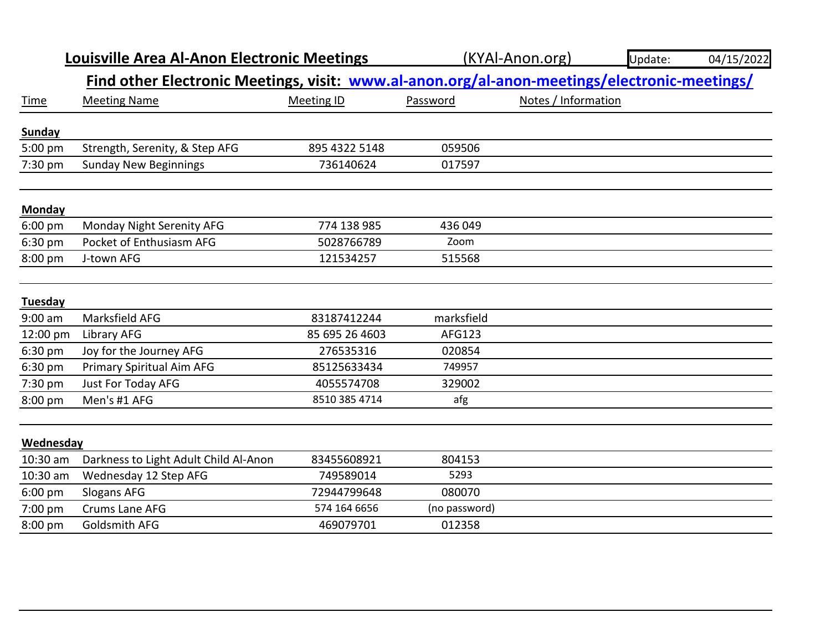|                | <b>Louisville Area Al-Anon Electronic Meetings</b>                                           |                | (KYAl-Anon.org) |                     | Update: | 04/15/2022 |
|----------------|----------------------------------------------------------------------------------------------|----------------|-----------------|---------------------|---------|------------|
|                | Find other Electronic Meetings, visit: www.al-anon.org/al-anon-meetings/electronic-meetings/ |                |                 |                     |         |            |
| Time           | <b>Meeting Name</b>                                                                          | Meeting ID     | Password        | Notes / Information |         |            |
| <b>Sunday</b>  |                                                                                              |                |                 |                     |         |            |
| 5:00 pm        | Strength, Serenity, & Step AFG                                                               | 895 4322 5148  | 059506          |                     |         |            |
| 7:30 pm        | <b>Sunday New Beginnings</b>                                                                 | 736140624      | 017597          |                     |         |            |
| Monday         |                                                                                              |                |                 |                     |         |            |
| 6:00 pm        | Monday Night Serenity AFG                                                                    | 774 138 985    | 436 049         |                     |         |            |
| 6:30 pm        | Pocket of Enthusiasm AFG                                                                     | 5028766789     | Zoom            |                     |         |            |
| 8:00 pm        | J-town AFG                                                                                   | 121534257      | 515568          |                     |         |            |
| <b>Tuesday</b> |                                                                                              |                |                 |                     |         |            |
| $9:00$ am      | Marksfield AFG                                                                               | 83187412244    | marksfield      |                     |         |            |
| 12:00 pm       | Library AFG                                                                                  | 85 695 26 4603 | <b>AFG123</b>   |                     |         |            |
| 6:30 pm        | Joy for the Journey AFG                                                                      | 276535316      | 020854          |                     |         |            |
| 6:30 pm        | <b>Primary Spiritual Aim AFG</b>                                                             | 85125633434    | 749957          |                     |         |            |
| 7:30 pm        | Just For Today AFG                                                                           | 4055574708     | 329002          |                     |         |            |
| 8:00 pm        | Men's #1 AFG                                                                                 | 8510 385 4714  | afg             |                     |         |            |
| Wednesday      |                                                                                              |                |                 |                     |         |            |
| 10:30 am       | Darkness to Light Adult Child Al-Anon                                                        | 83455608921    | 804153          |                     |         |            |
| 10:30 am       | Wednesday 12 Step AFG                                                                        | 749589014      | 5293            |                     |         |            |
| 6:00 pm        | <b>Slogans AFG</b>                                                                           | 72944799648    | 080070          |                     |         |            |
| 7:00 pm        | Crums Lane AFG                                                                               | 574 164 6656   | (no password)   |                     |         |            |
| 8:00 pm        | Goldsmith AFG                                                                                | 469079701      | 012358          |                     |         |            |